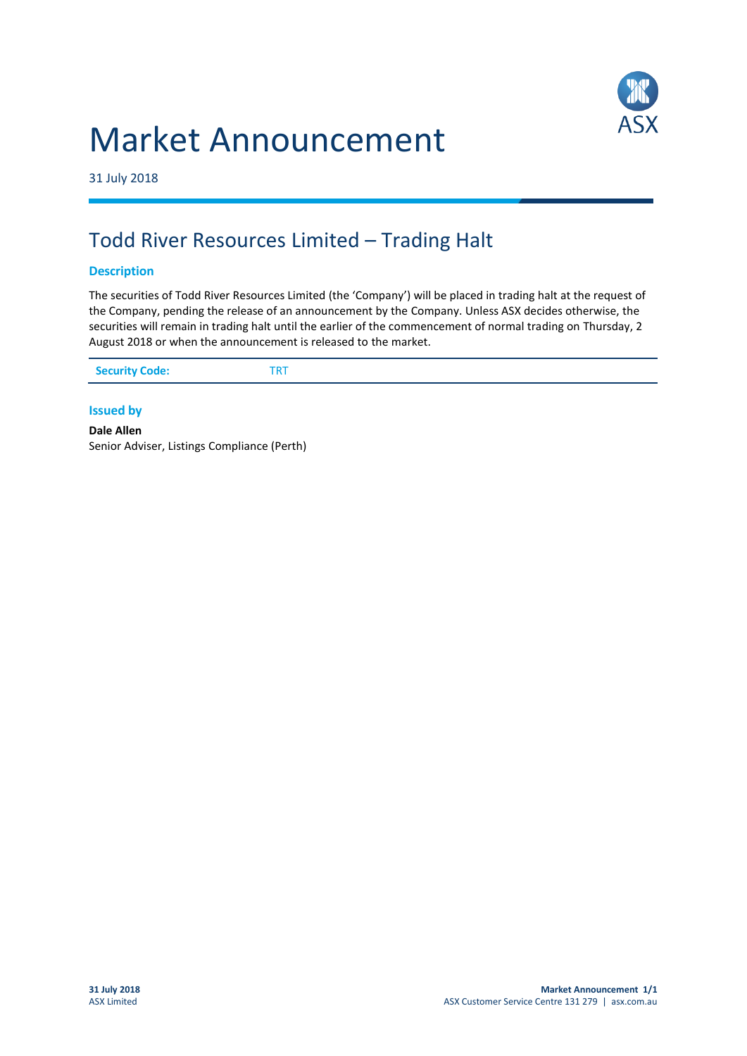# Market Announcement



31 July 2018

# Todd River Resources Limited – Trading Halt

## **Description**

The securities of Todd River Resources Limited (the 'Company') will be placed in trading halt at the request of the Company, pending the release of an announcement by the Company. Unless ASX decides otherwise, the securities will remain in trading halt until the earlier of the commencement of normal trading on Thursday, 2 August 2018 or when the announcement is released to the market.

| <b>Security Code:</b><br>$TD^+$ |
|---------------------------------|
|---------------------------------|

### **Issued by**

**Dale Allen** Senior Adviser, Listings Compliance (Perth)